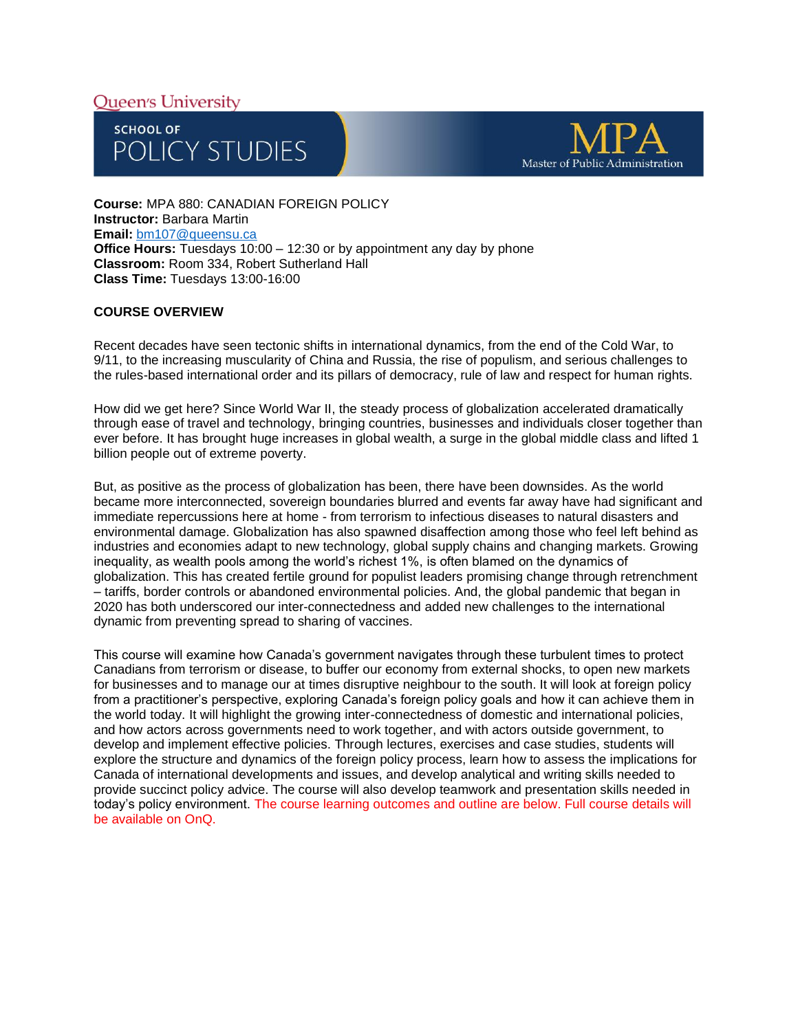# **Oueen's University**





**Course:** MPA 880: CANADIAN FOREIGN POLICY **Instructor:** Barbara Martin **Email:** [bm107@queensu.ca](mailto:bm107@queensu.ca) **Office Hours:** Tuesdays 10:00 – 12:30 or by appointment any day by phone **Classroom:** Room 334, Robert Sutherland Hall **Class Time:** Tuesdays 13:00-16:00

## **COURSE OVERVIEW**

Recent decades have seen tectonic shifts in international dynamics, from the end of the Cold War, to 9/11, to the increasing muscularity of China and Russia, the rise of populism, and serious challenges to the rules-based international order and its pillars of democracy, rule of law and respect for human rights.

How did we get here? Since World War II, the steady process of globalization accelerated dramatically through ease of travel and technology, bringing countries, businesses and individuals closer together than ever before. It has brought huge increases in global wealth, a surge in the global middle class and lifted 1 billion people out of extreme poverty.

But, as positive as the process of globalization has been, there have been downsides. As the world became more interconnected, sovereign boundaries blurred and events far away have had significant and immediate repercussions here at home - from terrorism to infectious diseases to natural disasters and environmental damage. Globalization has also spawned disaffection among those who feel left behind as industries and economies adapt to new technology, global supply chains and changing markets. Growing inequality, as wealth pools among the world's richest 1%, is often blamed on the dynamics of globalization. This has created fertile ground for populist leaders promising change through retrenchment – tariffs, border controls or abandoned environmental policies. And, the global pandemic that began in 2020 has both underscored our inter-connectedness and added new challenges to the international dynamic from preventing spread to sharing of vaccines.

This course will examine how Canada's government navigates through these turbulent times to protect Canadians from terrorism or disease, to buffer our economy from external shocks, to open new markets for businesses and to manage our at times disruptive neighbour to the south. It will look at foreign policy from a practitioner's perspective, exploring Canada's foreign policy goals and how it can achieve them in the world today. It will highlight the growing inter-connectedness of domestic and international policies, and how actors across governments need to work together, and with actors outside government, to develop and implement effective policies. Through lectures, exercises and case studies, students will explore the structure and dynamics of the foreign policy process, learn how to assess the implications for Canada of international developments and issues, and develop analytical and writing skills needed to provide succinct policy advice. The course will also develop teamwork and presentation skills needed in today's policy environment. The course learning outcomes and outline are below. Full course details will be available on OnQ.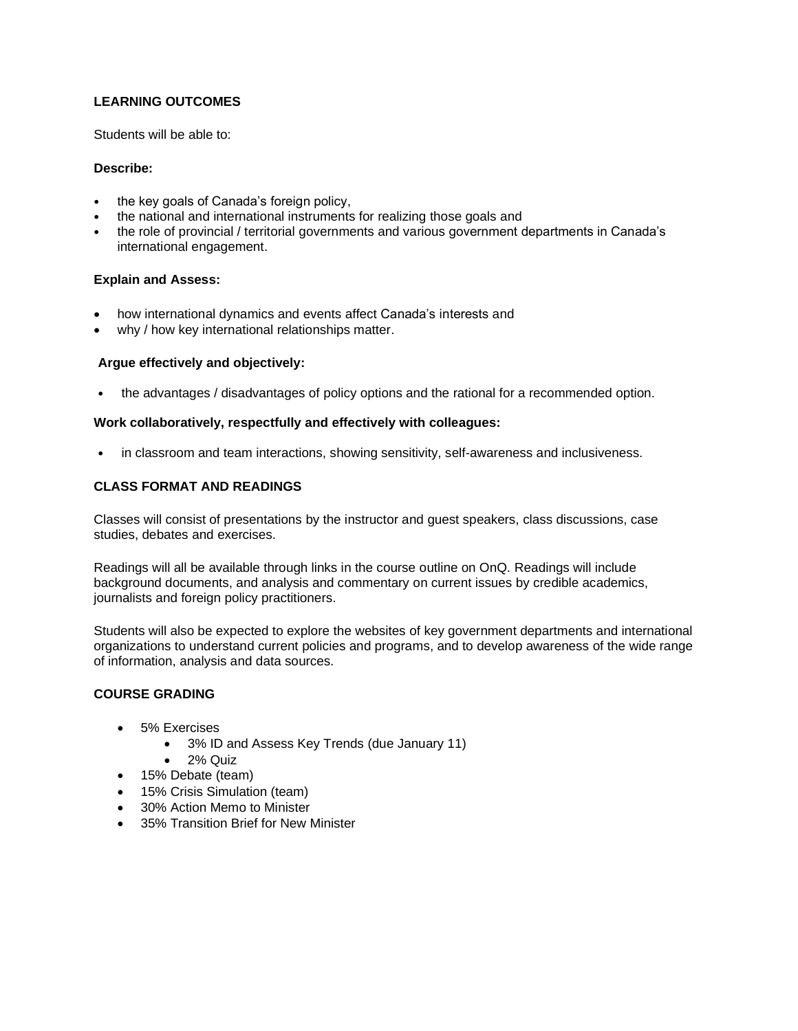## **LEARNING OUTCOMES**

Students will be able to:

## **Describe:**

- the key goals of Canada's foreign policy,
- the national and international instruments for realizing those goals and
- the role of provincial / territorial governments and various government departments in Canada's international engagement.

## **Explain and Assess:**

- how international dynamics and events affect Canada's interests and
- why / how key international relationships matter.

## **Argue effectively and objectively:**

• the advantages / disadvantages of policy options and the rational for a recommended option.

## **Work collaboratively, respectfully and effectively with colleagues:**

• in classroom and team interactions, showing sensitivity, self-awareness and inclusiveness.

## **CLASS FORMAT AND READINGS**

Classes will consist of presentations by the instructor and guest speakers, class discussions, case studies, debates and exercises.

Readings will all be available through links in the course outline on OnQ. Readings will include background documents, and analysis and commentary on current issues by credible academics, journalists and foreign policy practitioners.

Students will also be expected to explore the websites of key government departments and international organizations to understand current policies and programs, and to develop awareness of the wide range of information, analysis and data sources.

## **COURSE GRADING**

- 5% Exercises
	- 3% ID and Assess Key Trends (due January 11)
	- 2% Quiz
- 15% Debate (team)
- 15% Crisis Simulation (team)
- 30% Action Memo to Minister
- 35% Transition Brief for New Minister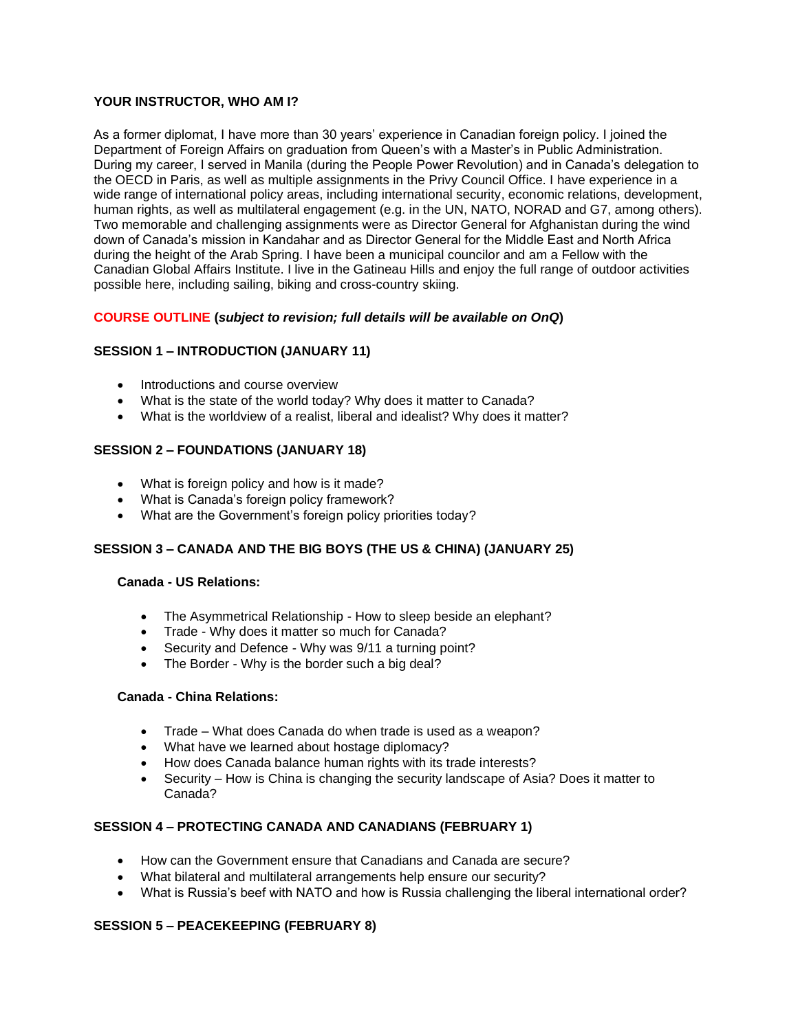## **YOUR INSTRUCTOR, WHO AM I?**

As a former diplomat, I have more than 30 years' experience in Canadian foreign policy. I joined the Department of Foreign Affairs on graduation from Queen's with a Master's in Public Administration. During my career, I served in Manila (during the People Power Revolution) and in Canada's delegation to the OECD in Paris, as well as multiple assignments in the Privy Council Office. I have experience in a wide range of international policy areas, including international security, economic relations, development, human rights, as well as multilateral engagement (e.g. in the UN, NATO, NORAD and G7, among others). Two memorable and challenging assignments were as Director General for Afghanistan during the wind down of Canada's mission in Kandahar and as Director General for the Middle East and North Africa during the height of the Arab Spring. I have been a municipal councilor and am a Fellow with the Canadian Global Affairs Institute. I live in the Gatineau Hills and enjoy the full range of outdoor activities possible here, including sailing, biking and cross-country skiing.

## **COURSE OUTLINE (***subject to revision; full details will be available on OnQ***)**

## **SESSION 1 – INTRODUCTION (JANUARY 11)**

- Introductions and course overview
- What is the state of the world today? Why does it matter to Canada?
- What is the worldview of a realist, liberal and idealist? Why does it matter?

## **SESSION 2 – FOUNDATIONS (JANUARY 18)**

- What is foreign policy and how is it made?
- What is Canada's foreign policy framework?
- What are the Government's foreign policy priorities today?

## **SESSION 3 – CANADA AND THE BIG BOYS (THE US & CHINA) (JANUARY 25)**

### **Canada - US Relations:**

- The Asymmetrical Relationship How to sleep beside an elephant?
- Trade Why does it matter so much for Canada?
- Security and Defence Why was 9/11 a turning point?
- The Border Why is the border such a big deal?

## **Canada - China Relations:**

- Trade What does Canada do when trade is used as a weapon?
- What have we learned about hostage diplomacy?
- How does Canada balance human rights with its trade interests?
- Security How is China is changing the security landscape of Asia? Does it matter to Canada?

#### **SESSION 4 – PROTECTING CANADA AND CANADIANS (FEBRUARY 1)**

- How can the Government ensure that Canadians and Canada are secure?
- What bilateral and multilateral arrangements help ensure our security?
- What is Russia's beef with NATO and how is Russia challenging the liberal international order?

#### **SESSION 5 – PEACEKEEPING (FEBRUARY 8)**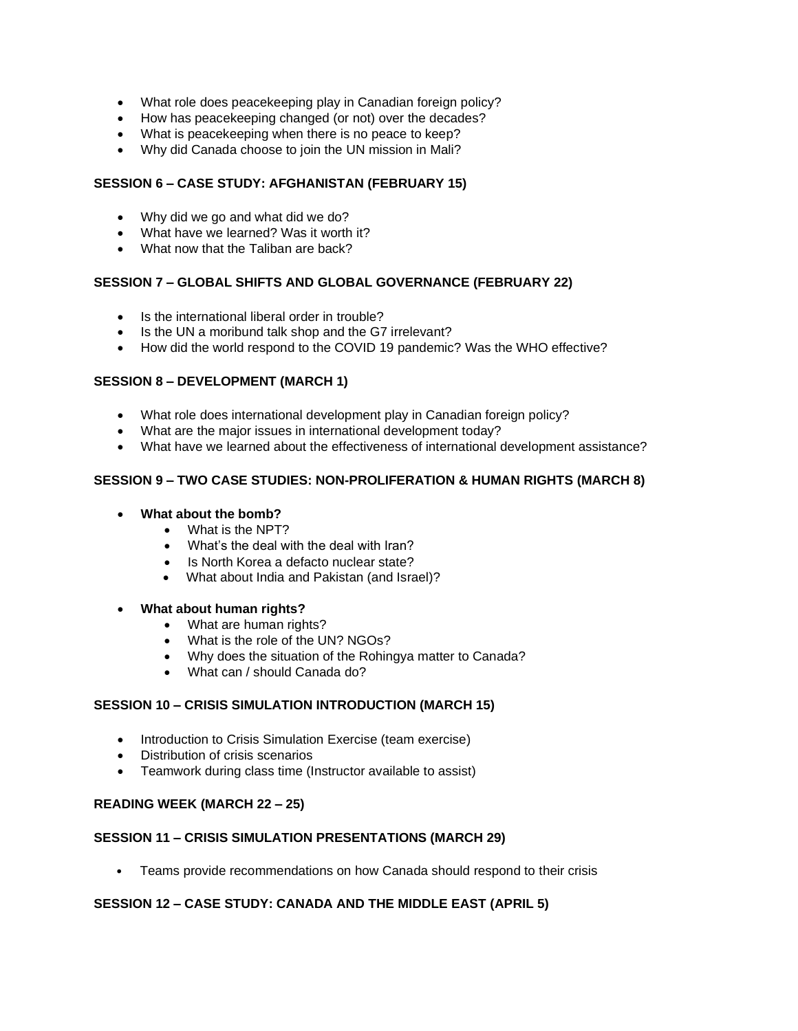- What role does peacekeeping play in Canadian foreign policy?
- How has peacekeeping changed (or not) over the decades?
- What is peacekeeping when there is no peace to keep?
- Why did Canada choose to join the UN mission in Mali?

## **SESSION 6 – CASE STUDY: AFGHANISTAN (FEBRUARY 15)**

- Why did we go and what did we do?
- What have we learned? Was it worth it?
- What now that the Taliban are back?

## **SESSION 7 – GLOBAL SHIFTS AND GLOBAL GOVERNANCE (FEBRUARY 22)**

- Is the international liberal order in trouble?
- Is the UN a moribund talk shop and the G7 irrelevant?
- How did the world respond to the COVID 19 pandemic? Was the WHO effective?

## **SESSION 8 – DEVELOPMENT (MARCH 1)**

- What role does international development play in Canadian foreign policy?
- What are the major issues in international development today?
- What have we learned about the effectiveness of international development assistance?

## **SESSION 9 – TWO CASE STUDIES: NON-PROLIFERATION & HUMAN RIGHTS (MARCH 8)**

- **What about the bomb?** 
	- What is the NPT?
	- What's the deal with the deal with Iran?
	- Is North Korea a defacto nuclear state?
	- What about India and Pakistan (and Israel)?

#### • **What about human rights?**

- What are human rights?
- What is the role of the UN? NGOs?
- Why does the situation of the Rohingya matter to Canada?
- What can / should Canada do?

## **SESSION 10 – CRISIS SIMULATION INTRODUCTION (MARCH 15)**

- Introduction to Crisis Simulation Exercise (team exercise)
- Distribution of crisis scenarios
- Teamwork during class time (Instructor available to assist)

## **READING WEEK (MARCH 22 – 25)**

## **SESSION 11 – CRISIS SIMULATION PRESENTATIONS (MARCH 29)**

• Teams provide recommendations on how Canada should respond to their crisis

#### **SESSION 12 – CASE STUDY: CANADA AND THE MIDDLE EAST (APRIL 5)**